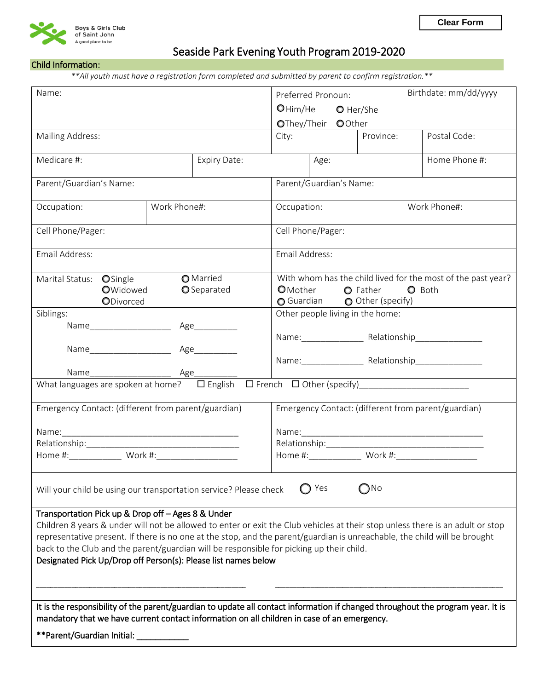

# Seaside Park Evening Youth Program 2019-2020

## Child Information:

*\*\*All youth must have a registration form completed and submitted by parent to confirm registration.\*\** 

| Name:                                                                                                                                                                                                                                                                                                                                                                                                                                                                           |  |  |              | Birthdate: mm/dd/yyyy<br>Preferred Pronoun:                        |                                                              |                    |              |               |                    |  |
|---------------------------------------------------------------------------------------------------------------------------------------------------------------------------------------------------------------------------------------------------------------------------------------------------------------------------------------------------------------------------------------------------------------------------------------------------------------------------------|--|--|--------------|--------------------------------------------------------------------|--------------------------------------------------------------|--------------------|--------------|---------------|--------------------|--|
|                                                                                                                                                                                                                                                                                                                                                                                                                                                                                 |  |  |              | O Him/He O Her/She                                                 |                                                              |                    |              |               |                    |  |
|                                                                                                                                                                                                                                                                                                                                                                                                                                                                                 |  |  |              |                                                                    |                                                              | OThey/Their OOther |              |               |                    |  |
| Mailing Address:                                                                                                                                                                                                                                                                                                                                                                                                                                                                |  |  |              | City:                                                              |                                                              |                    | Province:    |               | Postal Code:       |  |
| Medicare #:                                                                                                                                                                                                                                                                                                                                                                                                                                                                     |  |  | Expiry Date: |                                                                    | Age:                                                         |                    |              | Home Phone #: |                    |  |
| Parent/Guardian's Name:                                                                                                                                                                                                                                                                                                                                                                                                                                                         |  |  |              |                                                                    | Parent/Guardian's Name:                                      |                    |              |               |                    |  |
| Work Phone#:<br>Occupation:                                                                                                                                                                                                                                                                                                                                                                                                                                                     |  |  | Occupation:  |                                                                    |                                                              |                    | Work Phone#: |               |                    |  |
| Cell Phone/Pager:                                                                                                                                                                                                                                                                                                                                                                                                                                                               |  |  |              | Cell Phone/Pager:                                                  |                                                              |                    |              |               |                    |  |
| Email Address:                                                                                                                                                                                                                                                                                                                                                                                                                                                                  |  |  |              | Email Address:                                                     |                                                              |                    |              |               |                    |  |
| O Married<br>Marital Status: OSingle                                                                                                                                                                                                                                                                                                                                                                                                                                            |  |  |              |                                                                    | With whom has the child lived for the most of the past year? |                    |              |               |                    |  |
| OWidowed<br>O Separated<br>ODivorced                                                                                                                                                                                                                                                                                                                                                                                                                                            |  |  |              | O Mother O Father<br><b>O</b> Both<br>○ Guardian ○ Other (specify) |                                                              |                    |              |               |                    |  |
| Siblings:                                                                                                                                                                                                                                                                                                                                                                                                                                                                       |  |  |              | Other people living in the home:                                   |                                                              |                    |              |               |                    |  |
| Name_____________________<br>Age___________                                                                                                                                                                                                                                                                                                                                                                                                                                     |  |  |              |                                                                    |                                                              |                    |              |               |                    |  |
|                                                                                                                                                                                                                                                                                                                                                                                                                                                                                 |  |  |              | Name: Relationship                                                 |                                                              |                    |              |               |                    |  |
|                                                                                                                                                                                                                                                                                                                                                                                                                                                                                 |  |  |              |                                                                    |                                                              |                    |              |               | Name: Relationship |  |
| Name                                                                                                                                                                                                                                                                                                                                                                                                                                                                            |  |  |              |                                                                    |                                                              |                    |              |               |                    |  |
|                                                                                                                                                                                                                                                                                                                                                                                                                                                                                 |  |  |              |                                                                    |                                                              |                    |              |               |                    |  |
| Emergency Contact: (different from parent/guardian)                                                                                                                                                                                                                                                                                                                                                                                                                             |  |  |              |                                                                    | Emergency Contact: (different from parent/guardian)          |                    |              |               |                    |  |
|                                                                                                                                                                                                                                                                                                                                                                                                                                                                                 |  |  |              |                                                                    |                                                              |                    |              |               |                    |  |
|                                                                                                                                                                                                                                                                                                                                                                                                                                                                                 |  |  |              |                                                                    |                                                              |                    |              |               |                    |  |
|                                                                                                                                                                                                                                                                                                                                                                                                                                                                                 |  |  |              |                                                                    |                                                              |                    |              |               |                    |  |
|                                                                                                                                                                                                                                                                                                                                                                                                                                                                                 |  |  |              |                                                                    |                                                              |                    |              |               |                    |  |
| Yes<br>$\bigcap$ No<br>Will your child be using our transportation service? Please check                                                                                                                                                                                                                                                                                                                                                                                        |  |  |              |                                                                    |                                                              |                    |              |               |                    |  |
| Transportation Pick up & Drop off - Ages 8 & Under<br>Children 8 years & under will not be allowed to enter or exit the Club vehicles at their stop unless there is an adult or stop<br>representative present. If there is no one at the stop, and the parent/guardian is unreachable, the child will be brought<br>back to the Club and the parent/guardian will be responsible for picking up their child.<br>Designated Pick Up/Drop off Person(s): Please list names below |  |  |              |                                                                    |                                                              |                    |              |               |                    |  |
| It is the responsibility of the parent/guardian to update all contact information if changed throughout the program year. It is<br>mandatory that we have current contact information on all children in case of an emergency.                                                                                                                                                                                                                                                  |  |  |              |                                                                    |                                                              |                    |              |               |                    |  |
| **Parent/Guardian Initial: _                                                                                                                                                                                                                                                                                                                                                                                                                                                    |  |  |              |                                                                    |                                                              |                    |              |               |                    |  |
|                                                                                                                                                                                                                                                                                                                                                                                                                                                                                 |  |  |              |                                                                    |                                                              |                    |              |               |                    |  |